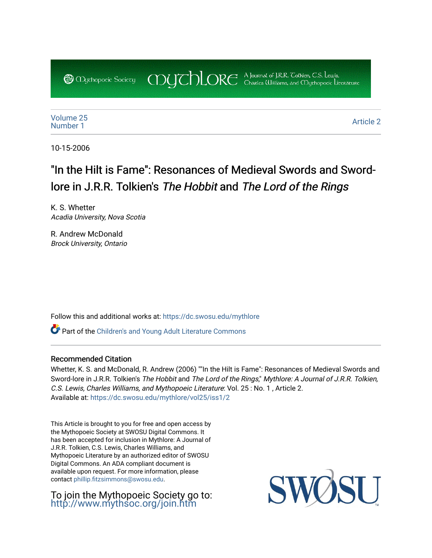COUCHORE A Journal of J.R.R. Colkien, C.S. Lewis,

[Volume 25](https://dc.swosu.edu/mythlore/vol25) [Number 1](https://dc.swosu.edu/mythlore/vol25/iss1) [Article 2](https://dc.swosu.edu/mythlore/vol25/iss1/2) Article 2 Article 2 Article 2 Article 2 Article 2 Article 2 Article 2 Article 2 Article 2 Article 2 Article 2 Article 2 Article 2 Article 2 Article 2 Article 2 Article 2 Article 2 Article 2 Article 2 Art

10-15-2006

# "In the Hilt is Fame": Resonances of Medieval Swords and Swordlore in J.R.R. Tolkien's The Hobbit and The Lord of the Rings

K. S. Whetter Acadia University, Nova Scotia

**@** *Oychopoeic* Sociecy

R. Andrew McDonald Brock University, Ontario

Follow this and additional works at: [https://dc.swosu.edu/mythlore](https://dc.swosu.edu/mythlore?utm_source=dc.swosu.edu%2Fmythlore%2Fvol25%2Fiss1%2F2&utm_medium=PDF&utm_campaign=PDFCoverPages) 

Part of the [Children's and Young Adult Literature Commons](http://network.bepress.com/hgg/discipline/1289?utm_source=dc.swosu.edu%2Fmythlore%2Fvol25%2Fiss1%2F2&utm_medium=PDF&utm_campaign=PDFCoverPages) 

#### Recommended Citation

Whetter, K. S. and McDonald, R. Andrew (2006) ""In the Hilt is Fame": Resonances of Medieval Swords and Sword-lore in J.R.R. Tolkien's The Hobbit and The Lord of the Rings," Mythlore: A Journal of J.R.R. Tolkien, C.S. Lewis, Charles Williams, and Mythopoeic Literature: Vol. 25 : No. 1 , Article 2. Available at: [https://dc.swosu.edu/mythlore/vol25/iss1/2](https://dc.swosu.edu/mythlore/vol25/iss1/2?utm_source=dc.swosu.edu%2Fmythlore%2Fvol25%2Fiss1%2F2&utm_medium=PDF&utm_campaign=PDFCoverPages) 

This Article is brought to you for free and open access by the Mythopoeic Society at SWOSU Digital Commons. It has been accepted for inclusion in Mythlore: A Journal of J.R.R. Tolkien, C.S. Lewis, Charles Williams, and Mythopoeic Literature by an authorized editor of SWOSU Digital Commons. An ADA compliant document is available upon request. For more information, please contact [phillip.fitzsimmons@swosu.edu.](mailto:phillip.fitzsimmons@swosu.edu)

To join the Mythopoeic Society go to: <http://www.mythsoc.org/join.htm>

SW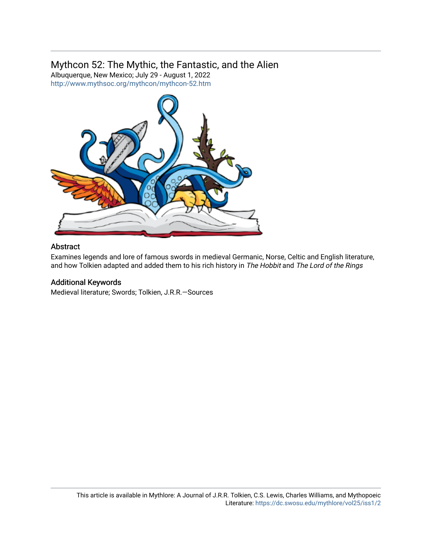# Mythcon 52: The Mythic, the Fantastic, and the Alien

Albuquerque, New Mexico; July 29 - August 1, 2022 <http://www.mythsoc.org/mythcon/mythcon-52.htm>



#### Abstract

Examines legends and lore of famous swords in medieval Germanic, Norse, Celtic and English literature, and how Tolkien adapted and added them to his rich history in The Hobbit and The Lord of the Rings

### Additional Keywords

Medieval literature; Swords; Tolkien, J.R.R.—Sources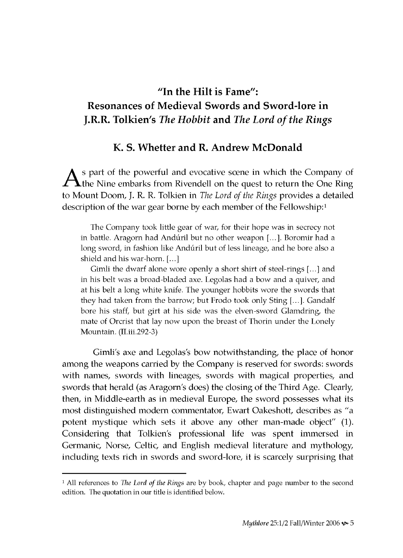## **"In the Hilt is Fame": Resonances of Medieval Swords and Sword-lore in J.R.R. Tolkien's** *The Hobbit* **and** *The Lord of the Rings*

#### **K. S. Whetter and R. Andrew McDonald**

 $\lambda$  s part of the powerful and evocative scene in which the Company of the N ine em barks from Rivendell on the quest to return the One Ring to M ount Doom, J. R. R. Tolkien in *The Lord of the Rings* provides a detailed description of the war gear borne by each member of the Fellowship:<sup>1</sup>

**The Company took little gear of war, for their hope was in secrecy not in battle. Aragorn had Anduril but no other weapon [...]. Boromir had a long sword, in fashion like Anduril but of less lineage, and he bore also a** shield and his war-horn. [...]

**Gimli the dwarf alone wore openly a short shirt of steel-rings [...] and in his belt was a broad-bladed axe. Legolas had a bow and a quiver, and at his belt a long white knife. The younger hobbits wore the swords that they had taken from the barrow; but Frodo took only Sting [...]. Gandalf bore his staff, but girt at his side was the elven-sword Glamdring, the mate of Orcrist that lay now upon the breast of Thorin under the Lonely Mountain. (II.iii.292-3)**

Gimli's axe and Legolas's bow notwithstanding, the place of honor among the weapons carried by the Company is reserved for swords: swords with names, swords with lineages, swords with magical properties, and swords that herald (as Aragorn's does) the closing of the Third Age. Clearly, then, in Middle-earth as in medieval Europe, the sword possesses what its most distinguished modern commentator, Ewart Oakeshott, describes as "a potent mystique which sets it above any other man-made object" (1). Considering that Tolkien's professional life was spent immersed in Germanic, Norse, Celtic, and English medieval literature and mythology, including texts rich in swords and sword-lore, it is scarcely surprising that

<sup>1</sup> All references to *The Lord of the Rings* are by book, chapter and page number to the second edition. The quotation in our title is identified below.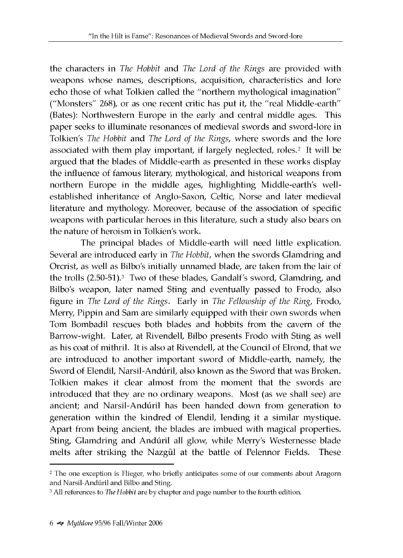the characters in *The Hobbit* and *The Lord of the Rings* are provided with weapons whose names, descriptions, acquisition, characteristics and lore echo those of what Tolkien called the "northern mythological imagination" ("Monsters"  $268$ ), or as one recent critic has put it, the "real Middle-earth" (Bates): Northwestern Europe in the early and central middle ages. This paper seeks to illuminate resonances of medieval swords and sword-lore in Tolkien's *The Hobbit* and *The Lord of the Rings*, where swords and the lore associated with them play important, if largely neglected, roles.<sup>2</sup> It will be argued that the blades of Middle-earth as presented in these works display the influence of famous literary, mythological, and historical weapons from northern Europe in the middle ages, highlighting Middle-earth's wellestablished inheritance of Anglo-Saxon, Celtic, Norse and later medieval literature and mythology. Moreover, because of the association of specific weapons with particular heroes in this literature, such a study also bears on the nature of heroism in Tolkien's work.

The principal blades of Middle-earth will need little explication. Several are introduced early in *The Hobbit*, when the swords Glamdring and Orcrist, as well as Bilbo's initially unnamed blade, are taken from the lair of the trolls (2.50-51).3 Two of these blades, Gandalf's sword, Glamdring, and Bilbo's weapon, later named Sting and eventually passed to Frodo, also figure in *The Lord of the Rings.* Early in *The Fellowship of the Ring,* Frodo, Merry, Pippin and Sam are similarly equipped with their own swords when Tom Bombadil rescues both blades and hobbits from the cavern of the Barrow-wight. Later, at Rivendell, Bilbo presents Frodo with Sting as well as his coat of mithril. It is also at Rivendell, at the Council of Elrond, that we are introduced to another important sword of Middle-earth, namely, the Sword of Elendil, Narsil-Andúril, also known as the Sword that was Broken. Tolkien makes it clear almost from the moment that the swords are introduced that they are no ordinary weapons. Most (as we shall see) are ancient; and Narsil-Andúril has been handed down from generation to generation within the kindred of Elendil, lending it a similar mystique. Apart from being ancient, the blades are imbued with magical properties. Sting, Glamdring and Andúril all glow, while Merry's Westernesse blade melts after striking the Nazgûl at the battle of Pelennor Fields. These

<sup>2</sup> The one exception is Flieger, who briefly anticipates some of our comments about Aragorn and Narsil-Andúril and Bilbo and Sting.

<sup>3</sup> All references to *The Hobbit* are by chapter and page number to the fourth edition.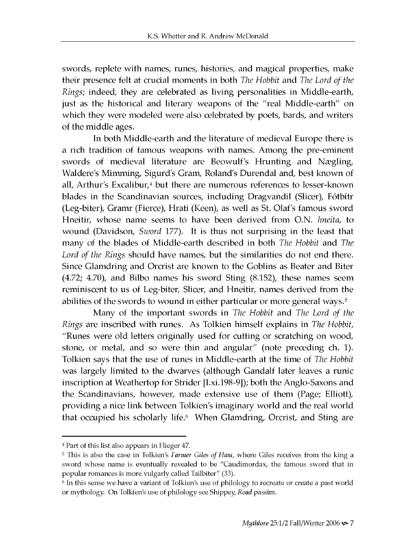swords, replete with names, runes, histories, and magical properties, make their presence felt at crucial moments in both *The Hobbit* and *The Lord of the Rings*; indeed, they are celebrated as living personalities in Middle-earth, just as the historical and literary weapons of the "real Middle-earth" on which they were modeled were also celebrated by poets, bards, and writers of the middle ages.

In both Middle-earth and the literature of medieval Europe there is a rich tradition of famous weapons with names. Among the pre-eminent swords of medieval literature are Beowulf's Hrunting and Nægling, Waldere's Mimming, Sigurd's Gram, Roland's Durendal and, best known of all, Arthur's Excalibur, $4$  but there are numerous references to lesser-known blades in the Scandinavian sources, including Dragvandil (Slicer), Fótbítr (Leg-biter), Gramr (Fierce), Hrati (Keen), as well as St. Olaf's famous sword Hneitir, whose name seems to have been derived from O.N. *hneita*, to wound (Davidson, *Sword* 177). It is thus not surprising in the least that many of the blades of Middle-earth described in both *The Hobbit* and *The Lord of the Rings* should have names, but the similarities do not end there. Since Glamdring and Orcrist are known to the Goblins as Beater and Biter  $(4.72; 4.70)$ , and Bilbo names his sword Sting  $(8.152)$ , these names seem reminiscent to us of Leg-biter, Slicer, and Hneitir, names derived from the abilities of the swords to wound in either particular or more general ways.<sup>5</sup>

M any of the im portant sw ords in *The Hobbit* and *The Lord of the Rings* are inscribed with runes. As Tolkien himself explains in *The Hobbit*, "Runes were old letters originally used for cutting or scratching on wood, stone, or metal, and so were thin and angular" (note preceding ch. 1). Tolkien says that the use of runes in Middle-earth at the time of *The Hobbit* was largely limited to the dwarves (although Gandalf later leaves a runic inscription at Weathertop for Strider [I.xi.198-9]); both the Anglo-Saxons and the Scandinavians, however, made extensive use of them (Page; Elliott), providing a nice link between Tolkien's imaginary world and the real world that occupied his scholarly life.<sup>6</sup> When Glamdring, Orcrist, and Sting are

<sup>4</sup> Part of this list also appears in Flieger 47.

<sup>5</sup> This is also the case in Tolkien's *Farmer Giles of Ham,* where Giles receives from the king a sword whose name is eventually revealed to be "Caudimordax, the famous sword that in popular romances is more vulgarly called Tailbiter" (33).

 $6$  In this sense we have a variant of Tolkien's use of philology to recreate or create a past world or mythology. On Tolkien's use of philology see Shippey, *Road* passim.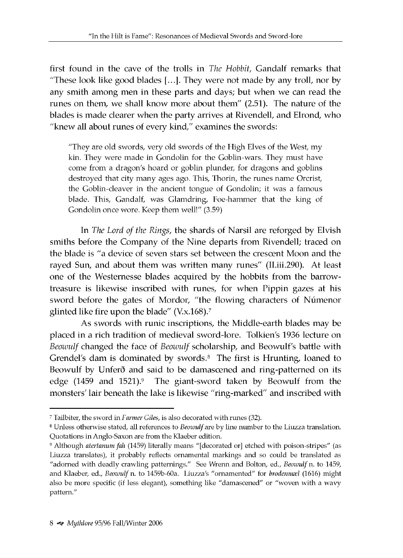first found in the cave of the trolls in *The Hobbit*, Gandalf remarks that "These look like good blades  $[...]$ . They were not made by any troll, nor by any smith among men in these parts and days; but when we can read the runes on them, we shall know more about them" (2.51). The nature of the blades is made clearer when the party arrives at Rivendell, and Elrond, who "knew all about runes of every kind," examines the swords:

**"They are old swords, very old swords of the High Elves of the West, my kin. They were made in Gondolin for the Goblin-wars. They must have come from a dragon's hoard or goblin plunder, for dragons and goblins destroyed that city many ages ago. This, Thorin, the runes name Orcrist, the Goblin-cleaver in the ancient tongue of Gondolin; it was a famous blade. This, Gandalf, was Glamdring, Foe-hammer that the king of Gondolin once wore. Keep them well!" (3.59)**

In *The Lord of the Rings,* the shards of Narsil are reforged by Elvish smiths before the Company of the Nine departs from Rivendell; traced on the blade is "a device of seven stars set between the crescent Moon and the rayed Sun, and about them was written many runes" (II.iii.290). At least one of the Westernesse blades acquired by the hobbits from the barrowtreasure is likewise inscribed with runes, for when Pippin gazes at his sword before the gates of Mordor, "the flowing characters of Númenor glinted like fire upon the blade" (V.x.168).7

As swords with runic inscriptions, the Middle-earth blades may be placed in a rich tradition of medieval sword-lore. Tolkien's 1936 lecture on *Beowulf* changed the face of *Beowulf* scholarship, and Beowulf's battle with Grendel's dam is dominated by swords.<sup>8</sup> The first is Hrunting, loaned to Beowulf by Unferð and said to be damascened and ring-patterned on its edge  $(1459 \text{ and } 1521)$ .<sup>9</sup> The giant-sword taken by Beowulf from the monsters' lair beneath the lake is likewise "ring-marked" and inscribed with

<sup>&</sup>lt;sup>7</sup> Tailbiter, the sword in *Farmer Giles*, is also decorated with runes (32).

<sup>8</sup> Unless otherwise stated, all references to *Beowulf* are by line number to the Liuzza translation. Quotations in Anglo-Saxon are from the Klaeber edition.

<sup>&</sup>lt;sup>9</sup> Although *atertanum fah* (1459) literally means "[decorated or] etched with poison-stripes" (as Liuzza translates), it probably reflects ornamental markings and so could be translated as "adorned with deadly crawling patternings." See Wrenn and Bolton, ed., *Beowulf* n. to 1459, and Klaeber, ed., *Beowulf* n. to 1459b-60a. Liuzza's "ornamented" for *brodenmxl* (1616) might also be more specific (if less elegant), something like "damascened" or "woven with a wavy pattern."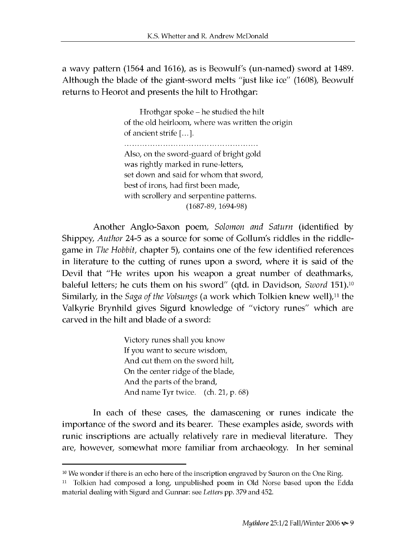a wavy pattern (1564 and 1616), as is Beowulf's (un-named) sword at 1489. Although the blade of the giant-sword melts "just like ice" (1608), Beowulf returns to Heorot and presents the hilt to Hrothgar:

> **Hrothgar spoke - he studied the hilt of the old heirloom, where was written the origin of ancient strife [...]. Also, on the sword-guard of bright gold was rightly marked in rune-letters, set down and said for whom that sword, best of irons, had first been made, with scrollery and serpentine patterns. (1687-89, 1694-98)**

A nother Anglo-Saxon poem, *Solomon and Saturn* (identified by Shippey, *Author* 24-5 as a source for some of Gollum's riddles in the riddlegame in *The Hobbit,* chapter 5), contains one of the few identified references in literature to the cutting of runes upon a sword, where it is said of the Devil that "He writes upon his weapon a great number of deathmarks, baleful letters; he cuts them on his sword" (qtd. in Davidson, *Sword* 151).<sup>10</sup> Similarly, in the *Saga of the Volsungs* (a work which Tolkien knew well),<sup>11</sup> the Valkyrie Brynhild gives Sigurd knowledge of "victory runes" which are carved in the hilt and blade of a sword:

> **Victory runes shall you know If you want to secure wisdom, And cut them on the sword hilt, On the center ridge of the blade, And the parts of the brand, And name Tyr twice. (ch. 21, p. 68)**

In each of these cases, the dam ascening or runes indicate the importance of the sword and its bearer. These examples aside, swords with runic inscriptions are actually relatively rare in medieval literature. They are, however, somewhat more familiar from archaeology. In her seminal

<sup>&</sup>lt;sup>10</sup> We wonder if there is an echo here of the inscription engraved by Sauron on the One Ring.

<sup>&</sup>lt;sup>11</sup> Tolkien had composed a long, unpublished poem in Old Norse based upon the Edda material dealing with Sigurd and Gunnar: see *Letters* pp. 379 and 452.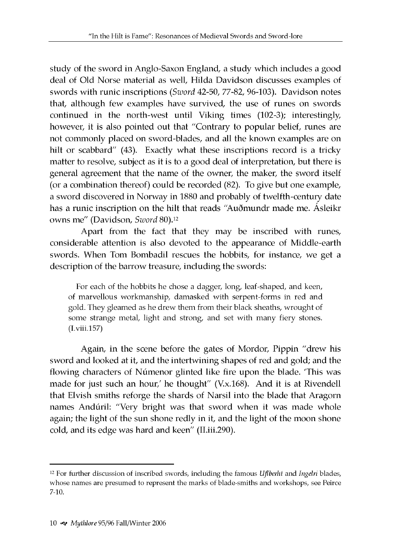study of the sword in Anglo-Saxon England, a study which includes a good deal of Old Norse material as well, Hilda Davidson discusses examples of swords with runic inscriptions (Sword 42-50, 77-82, 96-103). Davidson notes that, although few examples have survived, the use of runes on swords continued in the north-west until Viking times (102-3); interestingly, however, it is also pointed out that "Contrary to popular belief, runes are not commonly placed on sword-blades, and all the known examples are on hilt or scabbard" (43). Exactly what these inscriptions record is a tricky matter to resolve, subject as it is to a good deal of interpretation, but there is general agreement that the name of the owner, the maker, the sword itself (or a combination thereof) could be recorded (82). To give but one example, a sword discovered in Norway in 1880 and probably of twelfth-century date has a runic inscription on the hilt that reads "Auðmundr made me. Ásleikr ow ns me" (Davidson, *Sword* 80).12

Apart from the fact that they may be inscribed with runes, considerable attention is also devoted to the appearance of Middle-earth swords. When Tom Bombadil rescues the hobbits, for instance, we get a description of the barrow treasure, including the swords:

**For each of the hobbits he chose a dagger, long, leaf-shaped, and keen, of marvellous workmanship, damasked with serpent-forms in red and gold. They gleamed as he drew them from their black sheaths, wrought of some strange metal, light and strong, and set with many fiery stones. (I.viii.157)**

Again, in the scene before the gates of Mordor, Pippin "drew his sword and looked at it, and the intertwining shapes of red and gold; and the flowing characters of Númenor glinted like fire upon the blade. This was made for just such an hour,' he thought'' (V.x.168). And it is at Rivendell that Elvish smiths reforge the shards of Narsil into the blade that Aragorn names Andúril: "Very bright was that sword when it was made whole again; the light of the sun shone redly in it, and the light of the moon shone cold, and its edge was hard and keen" (II.iii.290).

<sup>12</sup> For further discussion of inscribed swords, including the famous *Uflberht* and *Ingelri* blades, whose names are presumed to represent the marks of blade-smiths and workshops, see Peirce 7-10.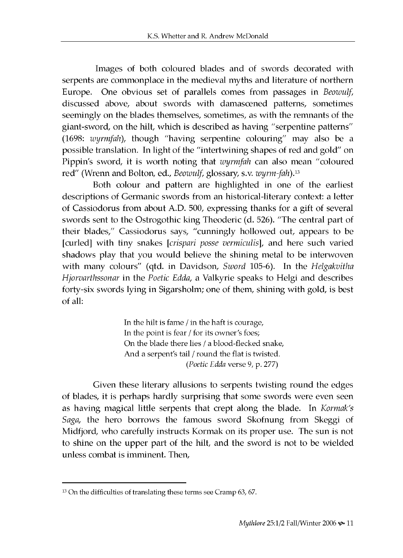Images of both coloured blades and of swords decorated with serpents are commonplace in the medieval myths and literature of northern Europe. One obvious set of parallels comes from passages in *Beowulf,* discussed above, about swords with damascened patterns, sometimes seemingly on the blades themselves, sometimes, as with the remnants of the giant-sword, on the hilt, which is described as having "serpentine patterns" (1698: *wyrmfah*), though "having serpentine colouring" may also be a possible translation. In light of the "intertwining shapes of red and gold" on Pippin's sword, it is worth noting that *wyrmfah* can also mean "coloured red" (Wrenn and Bolton, ed., *Beowulf,* glossary, s.v. *wyrm-fah*).13

Both colour and pattern are highlighted in one of the earliest descriptions of Germanic swords from an historical-literary context: a letter of Cassiodorus from about A.D. 500, expressing thanks for a gift of several swords sent to the Ostrogothic king Theoderic (d. 526). "The central part of their blades," Cassiodorus says, "cunningly hollowed out, appears to be [curled] with tiny snakes *[crispari posse vermiculis*], and here such varied shadows play that you would believe the shining metal to be interwoven with many colours" (qtd. in Davidson, *Sword* 105-6). In the *Helgakvitha Hjorvarthssonar* in the *Poetic Edda,* a Valkyrie speaks to Helgi and describes forty-six swords lying in Sigarsholm; one of them, shining with gold, is best of all:

> **In the hilt is fame / in the haft is courage, In the point is fear / for its owner's foes; On the blade there lies / a blood-flecked snake, And a serpent's tail / round the flat is twisted.** *(Poetic Edda* **verse 9, p. 277)**

Given these literary allusions to serpents twisting round the edges of blades, it is perhaps hardly surprising that some swords were even seen as having magical little serpents that crept along the blade. In *Kormak's Saga*, the hero borrows the famous sword Skofnung from Skeggi of Midfjord, who carefully instructs Kormak on its proper use. The sun is not to shine on the upper part of the hilt, and the sword is not to be wielded unless combat is imminent. Then,

<sup>&</sup>lt;sup>13</sup> On the difficulties of translating these terms see Cramp 63, 67.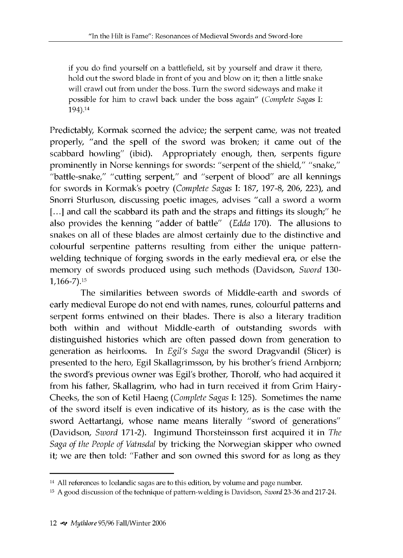**if you do find yourself on a battlefield, sit by yourself and draw it there, hold out the sword blade in front of you and blow on it; then a little snake will crawl out from under the boss. Turn the sword sideways and make it possible for him to crawl back under the boss again"** *(Complete Sagas* **I: 194).14**

Predictably, Kormak scorned the advice; the serpent came, was not treated properly, "and the spell of the sword was broken; it came out of the scabbard howling" (ibid). Appropriately enough, then, serpents figure prominently in Norse kennings for swords: "serpent of the shield," "snake," "battle-snake," "cutting serpent," and "serpent of blood" are all kennings for swords in Kormak's poetry *(Complete Sagas* I: 187, 197-8, 206, 223), and Snorri Sturluson, discussing poetic images, advises "call a sword a worm [...] and call the scabbard its path and the straps and fittings its slough;" he also provides the kenning "adder of battle" *(Edda* 170). The allusions to snakes on all of these blades are almost certainly due to the distinctive and colourful serpentine patterns resulting from either the unique patternwelding technique of forging swords in the early medieval era, or else the memory of swords produced using such methods (Davidson, *Sword* 130-1,166-7).15

The similarities between swords of Middle-earth and swords of early medieval Europe do not end with names, runes, colourful patterns and serpent forms entwined on their blades. There is also a literary tradition both within and without Middle-earth of outstanding swords with distinguished histories which are often passed down from generation to generation as heirlooms. In *Egil's Saga* the sword Dragvandil (Slicer) is presented to the hero, Egil Skallagrimsson, by his brother's friend Arnbjorn; the sword's previous owner was Egil's brother, Thorolf, who had acquired it from his father, Skallagrim, who had in turn received it from Grim Hairy-Cheeks, the son of Ketil Haeng (*Complete Sagas* I: 125). Sometimes the name of the sword itself is even indicative of its history, as is the case with the sword Aettartangi, whose name means literally "sword of generations" (Davidson, *Sword* 171-2). Ingim und Thorsteinsson first acquired it in *The Saga of the People of Vatnsdal by tricking the Norwegian skipper who owned* it; we are then told: "Father and son owned this sword for as long as they

<sup>&</sup>lt;sup>14</sup> All references to Icelandic sagas are to this edition, by volume and page number.

<sup>15</sup> A good discussion of the technique of pattern-welding is Davidson, *Sword* 23-36 and 217-24.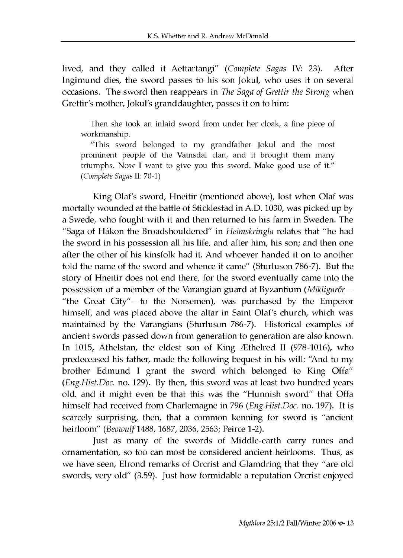lived, and they called it A ettartangi" *(Complete Sagas* IV: 23). After Ingimund dies, the sword passes to his son Jokul, who uses it on several occasions. The sword then reappears in *The Saga of Grettir the Strong* when Grettir's mother, Jokul's granddaughter, passes it on to him:

**Then she took an inlaid sword from under her cloak, a fine piece of workmanship.**

"This sword belonged to my grandfather Jokul and the most **prominent people of the Vatnsdal clan, and it brought them many** triumphs. Now I want to give you this sword. Make good use of it." *(Complete Sagas* **II: 70-1)**

King Olaf's sword, Hneitir (mentioned above), lost when Olaf was mortally wounded at the battle of Sticklestad in A.D. 1030, was picked up by a Swede, who fought with it and then returned to his farm in Sweden. The "Saga of Hákon the Broadshouldered" in *Heimskringla* relates that "he had the sword in his possession all his life, and after him, his son; and then one after the other of his kinsfolk had it. And whoever handed it on to another told the name of the sword and whence it came" (Sturluson 786-7). But the story of Hneitir does not end there, for the sword eventually came into the possession of a member of the Varangian guard at Byzantium *(Mikligarðr—* "the Great City"—to the Norsemen), was purchased by the Emperor himself, and was placed above the altar in Saint Olaf's church, which was maintained by the Varangians (Sturluson 786-7). Historical examples of ancient swords passed down from generation to generation are also known. In 1015, Athelstan, the eldest son of King Æthelred II (978-1016), who predeceased his father, made the following bequest in his will: "And to my brother Edmund I grant the sword which belonged to King Offa" *(Eng.Hist.Doc.* no. 129). By then, this sword was at least two hundred years old, and it might even be that this was the "Hunnish sword" that Offa himself had received from Charlem agne in 796 *(Eng.Hist.Doc.* no. 197). It is scarcely surprising, then, that a common kenning for sword is "ancient heirloom" *(Beowulf* 1488, 1687, 2036, 2563; Peirce 1-2).

Just as many of the swords of Middle-earth carry runes and ornamentation, so too can most be considered ancient heirlooms. Thus, as we have seen, Elrond remarks of Orcrist and Glamdring that they "are old swords, very old" (3.59). Just how formidable a reputation Orcrist enjoyed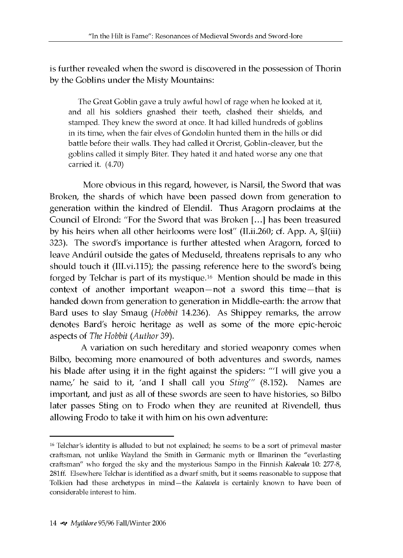is further revealed when the sword is discovered in the possession of Thorin by the Goblins under the Misty Mountains:

**The Great Goblin gave a truly awful howl of rage when he looked at it, and all his soldiers gnashed their teeth, clashed their shields, and stamped. They knew the sword at once. It had killed hundreds of goblins in its time, when the fair elves of Gondolin hunted them in the hills or did battle before their walls. They had called it Orcrist, Goblin-cleaver, but the goblins called it simply Biter. They hated it and hated worse any one that carried it. (4.70)**

More obvious in this regard, however, is Narsil, the Sword that was Broken, the shards of which have been passed down from generation to generation within the kindred of Elendil. Thus Aragorn proclaims at the Council of Elrond: "For the Sword that was Broken [...] has been treasured by his heirs w hen all other heirlooms were lost" (II.ii.260; cf. App. A, §I(iii) 323). The sword's importance is further attested when Aragorn, forced to leave Andúril outside the gates of Meduseld, threatens reprisals to any who should touch it (III.vi.115); the passing reference here to the sword's being forged by Telchar is part of its mystique.<sup>16</sup> Mention should be made in this context of another important weapon—not a sword this time—that is handed down from generation to generation in Middle-earth: the arrow that Bard uses to slay Smaug *(Hobbit* 14.236). As Shippey remarks, the arrow denotes Bard's heroic heritage as well as some of the more epic-heroic aspects of *The Hobbit (Author* 39).

A variation on such hereditary and storied weaponry comes when Bilbo, becoming more enamoured of both adventures and swords, names his blade after using it in the fight against the spiders: "'I will give you a name,' he said to it, 'and I shall call you *Sting'''* (8.152). Names are im portant, and just as all of these swords are seen to have histories, so Bilbo later passes Sting on to Frodo when they are reunited at Rivendell, thus allowing Frodo to take it with him on his own adventure:

<sup>&</sup>lt;sup>16</sup> Telchar's identity is alluded to but not explained; he seems to be a sort of primeval master craftsman, not unlike Wayland the Smith in Germanic myth or Ilmarinen the "everlasting craftsman" who forged the sky and the mysterious Sampo in the Finnish *Kalevala* 10: 277-8, 281ff. Elsewhere Telchar is identified as a dwarf smith, but it seems reasonable to suppose that Tolkien had these archetypes in mind—the *Kalavela* is certainly known to have been of considerable interest to him.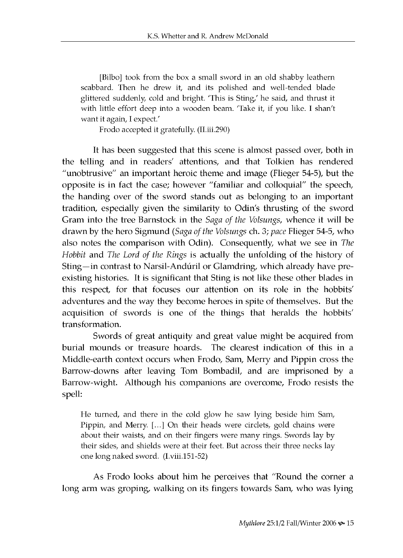**[Bilbo] took from the box a small sword in an old shabby leathern scabbard. Then he drew it, and its polished and well-tended blade glittered suddenly, cold and bright. 'This is Sting,' he said, and thrust it with little effort deep into a wooden beam. 'Take it, if you like. I shan't want it again, I expect.'**

**Frodo accepted it gratefully. (II.iii.290)**

It has been suggested that this scene is almost passed over, both in the telling and in readers' attentions, and that Tolkien has rendered "unobtrusive" an important heroic theme and image (Flieger 54-5), but the opposite is in fact the case; however "familiar and colloquial" the speech, the handing over of the sword stands out as belonging to an important tradition, especially given the similarity to Odin's thrusting of the sword Gram into the tree Barnstock in the *Saga of the Volsungs*, whence it will be drawn by the hero Sigmund *(Saga of the Volsungs ch. 3; pace Flieger* 54-5, who also notes the comparison with Odin). Consequently, what we see in *The Hobbit* and *The Lord of the Rings* is actually the unfolding of the history of Sting—in contrast to Narsil-Andúril or Glamdring, which already have preexisting histories. It is significant that Sting is not like these other blades in this respect, for that focuses our attention on its role in the hobbits' adventures and the way they become heroes in spite of themselves. But the acquisition of swords is one of the things that heralds the hobbits' transformation.

Swords of great antiquity and great value might be acquired from burial mounds or treasure hoards. The clearest indication of this in a Middle-earth context occurs when Frodo, Sam, Merry and Pippin cross the Barrow-downs after leaving Tom Bombadil, and are imprisoned by a Barrow-wight. Although his companions are overcome, Frodo resists the spell:

**He turned, and there in the cold glow he saw lying beside him Sam, Pippin, and Merry. [...] On their heads were circlets, gold chains were about their waists, and on their fingers were many rings. Swords lay by their sides, and shields were at their feet. But across their three necks lay one long naked sword. (I.viii.151-52)**

As Frodo looks about him he perceives that "Round the corner a long arm was groping, walking on its fingers towards Sam, who was lying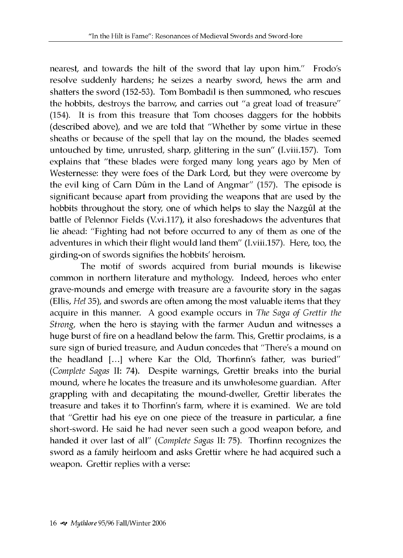nearest, and towards the hilt of the sword that lay upon him." Frodo's resolve suddenly hardens; he seizes a nearby sword, hews the arm and shatters the sword (152-53). Tom Bombadil is then summoned, who rescues the hobbits, destroys the barrow, and carries out "a great load of treasure" (154). It is from this treasure that Tom chooses daggers for the hobbits (described above), and we are told that "Whether by some virtue in these sheaths or because of the spell that lay on the mound, the blades seemed untouched by time, unrusted, sharp, glittering in the sun" (I.viii.157). Tom explains that "these blades were forged many long years ago by Men of Westernesse: they were foes of the Dark Lord, but they were overcome by the evil king of Carn Dûm in the Land of Angmar" (157). The episode is significant because apart from providing the weapons that are used by the hobbits throughout the story, one of which helps to slay the Nazgûl at the battle of Pelennor Fields (V.vi.117), it also foreshadows the adventures that lie ahead: "Fighting had not before occurred to any of them as one of the adventures in which their flight would land them" (I.viii.157). Here, too, the girding-on of swords signifies the hobbits' heroism.

The motif of swords acquired from burial mounds is likewise common in northern literature and mythology. Indeed, heroes who enter grave-mounds and emerge with treasure are a favourite story in the sagas (Ellis, *Hel* 35), and swords are often among the most valuable items that they acquire in this manner. A good example occurs in *The Saga of Grettir the Strong*, when the hero is staying with the farmer Audun and witnesses a huge burst of fire on a headland below the farm. This, Grettir proclaims, is a sure sign of buried treasure, and Audun concedes that "There's a mound on the headland [...] w here Kar the Old, Thorfinn's father, was buried" *(Complete Sagas* II: 74). Despite warnings, Grettir breaks into the burial mound, where he locates the treasure and its unwholesome guardian. After grappling with and decapitating the mound-dweller, Grettir liberates the treasure and takes it to Thorfinn's farm, w here it is examined. We are told that "Grettir had his eye on one piece of the treasure in particular, a fine short-sword. He said he had never seen such a good weapon before, and handed it over last of all" *(Complete Sagas* II: 75). Thorfinn recognizes the sword as a family heirloom and asks Grettir where he had acquired such a weapon. Grettir replies with a verse: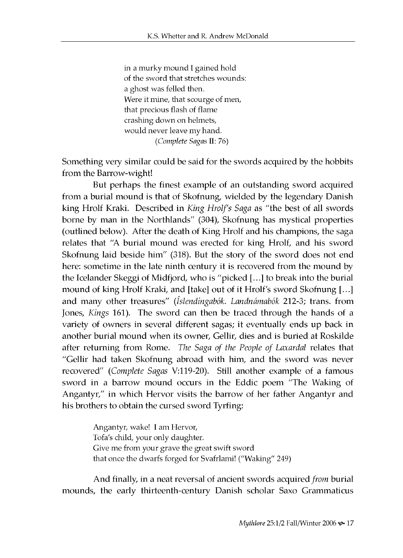**in a murky mound I gained hold of the sword that stretches wounds: a ghost was felled then. Were it mine, that scourge of men, that precious flash of flame crashing down on helmets,** would never leave my hand. *(Complete Sagas* **II: 76)**

Something very similar could be said for the swords acquired by the hobbits from the Barrow-wight!

But perhaps the finest example of an outstanding sword acquired from a burial mound is that of Skofnung, wielded by the legendary Danish king Hrolf Kraki. Described in *King Hrolf's Saga* as "the best of all swords borne by man in the Northlands" (304), Skofnung has mystical properties (outlined below). After the death of King Hrolf and his champions, the saga relates that "A burial mound was erected for king Hrolf, and his sword Skofnung laid beside him" (318). But the story of the sword does not end here: sometime in the late ninth century it is recovered from the mound by the Icelander Skeggi of Midfjord, w ho is "picked [...] to break into the burial mound of king Hrolf Kraki, and [take] out of it Hrolf's sword Skofnung [...] and many other treasures" (Íslendingabók. Landnámabók 212-3; trans. from Jones, *Kings* 161). The sword can then be traced through the hands of a variety of owners in several different sagas; it eventually ends up back in another burial mound when its owner, Gellir, dies and is buried at Roskilde after returning from Rome. *The Saga of the People of Laxardal* relates that "Gellir had taken Skofnung abroad with him, and the sword was never recovered" *(Complete Sagas* V:119-20). Still another example of a famous sword in a barrow mound occurs in the Eddic poem "The Waking of Angantyr," in which Hervor visits the barrow of her father Angantyr and his brothers to obtain the cursed sword Tyrfing:

> **Angantyr, wake! I am Hervor, Tofa's child, your only daughter. Give me from your grave the great swift sword that once the dwarfs forged for Svafrlami! ("Waking" 249)**

A nd finally, in a neat reversal of ancient swords acquired *from* burial mounds, the early thirteenth-century Danish scholar Saxo Grammaticus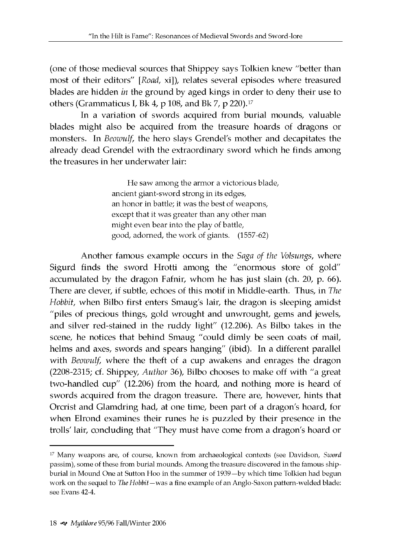(one of those medieval sources that Shippey says Tolkien knew "better than most of their editors" [Road, xi]), relates several episodes where treasured blades are hidden *in* the ground by aged kings in order to deny their use to others (Grammaticus I, Bk 4, p 108, and Bk 7, p 220).<sup>17</sup>

In a variation of swords acquired from burial mounds, valuable blades might also be acquired from the treasure hoards of dragons or monsters. In *Beowulf*, the hero slays Grendel's mother and decapitates the already dead Grendel with the extraordinary sword which he finds among the treasures in her underwater lair:

> **He saw among the armor a victorious blade, ancient giant-sword strong in its edges, an honor in battle; it was the best of weapons, except that it was greater than any other man might even bear into the play of battle, good, adorned, the work of giants. (1557-62)**

A nother famous example occurs in the *Saga of the Volsungs,* where Sigurd finds the sword Hrotti among the "enormous store of gold" accumulated by the dragon Fafnir, whom he has just slain (ch. 20, p. 66). There are clever, if subtle, echoes of this motif in M iddle-earth. Thus, in *The Hobbit,* when Bilbo first enters Smaug's lair, the dragon is sleeping amidst "piles of precious things, gold wrought and unwrought, gems and jewels, and silver red-stained in the ruddy light" (12.206). As Bilbo takes in the scene, he notices that behind Smaug "could dimly be seen coats of mail, helms and axes, swords and spears hanging" (ibid). In a different parallel with *Beowulf*, where the theft of a cup awakens and enrages the dragon (2208-2315; cf. Shippey, *Author* 36), Bilbo chooses to make off with "a great two-handled cup" (12.206) from the hoard, and nothing more is heard of swords acquired from the dragon treasure. There are, however, hints that Orcrist and Glamdring had, at one time, been part of a dragon's hoard, for w hen Elrond examines their runes he is puzzled by their presence in the trolls' lair, concluding that "They must have come from a dragon's hoard or

<sup>17</sup> Many weapons are, of course, known from archaeological contexts (see Davidson, *Sword* passim), some of these from burial mounds. Among the treasure discovered in the famous shipburial in Mound One at Sutton Hoo in the summer of 1939—by which time Tolkien had begun work on the sequel to *The Hobbit*—was a fine example of an Anglo-Saxon pattern-welded blade: see Evans 42-4.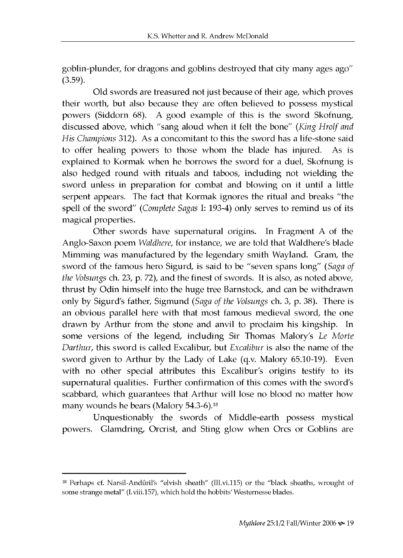goblin-plunder, for dragons and goblins destroyed that city many ages ago"  $(3.59)$ .

Old swords are treasured not just because of their age, which proves their worth, but also because they are often believed to possess mystical powers (Siddorn 68). A good example of this is the sword Skofnung, discussed above, which "sang aloud w hen it felt the bone" *(King Hrolf and His Champions* 312). As a concomitant to this the sword has a life-stone said to offer healing powers to those whom the blade has injured. As is explained to Kormak when he borrows the sword for a duel, Skofnung is also hedged round with rituals and taboos, including not wielding the sword unless in preparation for combat and blowing on it until a little serpent appears. The fact that Kormak ignores the ritual and breaks "the spell of the sword" *(Complete Sagas I*: 193-4) only serves to remind us of its magical properties.

Other swords have supernatural origins. In Fragment A of the Anglo-Saxon poem *Waldhere*, for instance, we are told that Waldhere's blade Mimming was manufactured by the legendary smith Wayland. Gram, the sw ord of the famous hero Sigurd, is said to be "seven spans long" *(Saga of the Volsungs* ch. 23, p. 72), and the finest of swords. It is also, as noted above, thrust by Odin himself into the huge tree Barnstock, and can be withdrawn only by Sigurd's father, Sigm und (*Saga of the Volsungs* ch. 3, p. 38). There is an obvious parallel here with that most famous medieval sword, the one drawn by Arthur from the stone and anvil to proclaim his kingship. In some versions of the legend, including Sir Thomas Malory's *Le Morte Darthur*, this sword is called *Excalibur*, but *Excalibur* is also the name of the sword given to Arthur by the Lady of Lake (q.v. Malory 65.10-19). Even with no other special attributes this Excalibur's origins testify to its supernatural qualities. Further confirmation of this comes with the sword's scabbard, which guarantees that Arthur will lose no blood no matter how many wounds he bears (Malory  $54.3-6$ ).<sup>18</sup>

Unquestionably the swords of Middle-earth possess mystical powers. Glamdring, Orcrist, and Sting glow when Orcs or Goblins are

<sup>&</sup>lt;sup>18</sup> Perhaps cf. Narsil-Andûril's "elvish sheath" (III.vi.115) or the "black sheaths, wrought of some strange metal" (I.viii.157), which hold the hobbits' Westernesse blades.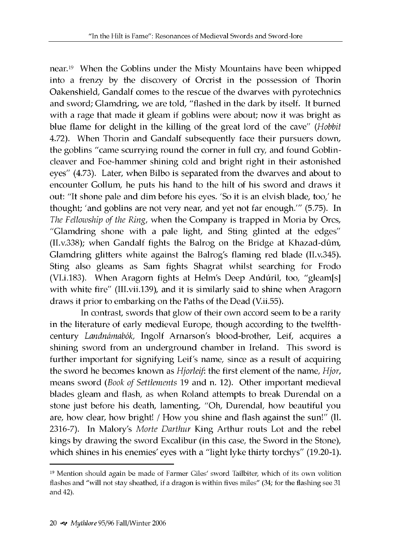near.<sup>19</sup> When the Goblins under the Misty Mountains have been whipped into a frenzy by the discovery of Orcrist in the possession of Thorin Oakenshield, Gandalf comes to the rescue of the dwarves with pyrotechnics and sword; Glamdring, we are told, "flashed in the dark by itself. It burned with a rage that made it gleam if goblins were about; now it was bright as blue flame for delight in the killing of the great lord of the cave" *(Hobbit* 4.72). When Thorin and Gandalf subsequently face their pursuers down, the goblins "came scurrying round the corner in full cry, and found Goblincleaver and Foe-hammer shining cold and bright right in their astonished eyes" (4.73). Later, when Bilbo is separated from the dwarves and about to encounter Gollum, he puts his hand to the hilt of his sword and draws it out: "It shone pale and dim before his eyes. 'So it is an elvish blade, too,' he thought; 'and goblins are not very near, and yet not far enough.'" (5.75). In *The Fellowship of the Ring, when the Company is trapped in Moria by Orcs,* "Glamdring shone with a pale light, and Sting glinted at the edges" (II.v.338); when Gandalf fights the Balrog on the Bridge at Khazad-dûm, Glamdring glitters white against the Balrog's flaming red blade (II.v.345). Sting also gleams as Sam fights Shagrat whilst searching for Frodo (VI.i.183). When Aragorn fights at Helm's Deep Andúril, too, "gleam[s] with white fire" (III.vii.139), and it is similarly said to shine when Aragorn draws it prior to embarking on the Paths of the Dead (V.ii.55).

In contrast, swords that glow of their own accord seem to be a rarity in the literature of early medieval Europe, though according to the twelfthcentury *Landnamabok,* Ingolf Arnarson's blood-brother, Leif, acquires a shining sword from an underground chamber in Ireland. This sword is further important for signifying Leif's name, since as a result of acquiring the sword he becomes known as *Hjorleif*: the first element of the name, *Hjor*, means sword (*Book of Settlements* 19 and n. 12). Other important medieval blades gleam and flash, as when Roland attempts to break Durendal on a stone just before his death, lamenting, "Oh, Durendal, how beautiful you are, how clear, how bright! / How you shine and flash against the sun!" (II. 2316-7). In Malory's Morte Darthur King Arthur routs Lot and the rebel kings by drawing the sword Excalibur (in this case, the Sword in the Stone), which shines in his enemies' eyes with a "light lyke thirty torchys" (19.20-1).

<sup>19</sup> Mention should again be made of Farmer Giles' sword Tailbiter, which of its own volition flashes and "will not stay sheathed, if a dragon is within fives miles" (34; for the flashing see 31 and 42).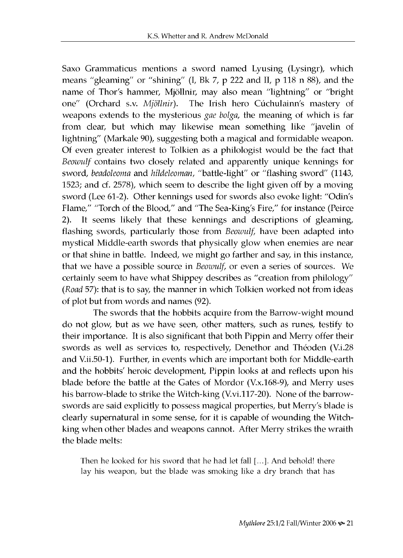Saxo Grammaticus mentions a sword named Lyusing (Lysingr), which means "gleaming" or "shining" (I, Bk 7, p 222 and II, p 118 n 88), and the name of Thor's hammer, Mjöllnir, may also mean "lightning" or "bright one" (Orchard s.v. *Mjöllnir*). The Irish hero Cúchulainn's mastery of weapons extends to the mysterious *gae bolga*, the meaning of which is far from clear, but which may likewise mean something like "javelin of lightning" (Markale 90), suggesting both a magical and formidable weapon. Of even greater interest to Tolkien as a philologist would be the fact that *Beowulf* contains two closely related and apparently unique kennings for sword, *beadoleoma* and *hildeleoman,* "battle-light" or "flashing sword" (1143, 1523; and cf. 2578), which seem to describe the light given off by a moving sword (Lee 61-2). Other kennings used for swords also evoke light: "Odin's Flame," "Torch of the Blood," and "The Sea-King's Fire," for instance (Peirce 2). It seems likely that these kennings and descriptions of gleaming, flashing swords, particularly those from *Beowulf*, have been adapted into mystical Middle-earth swords that physically glow when enemies are near or that shine in battle. Indeed, we might go farther and say, in this instance, that we have a possible source in *Beowulf*, or even a series of sources. We certainly seem to have what Shippey describes as "creation from philology" *(Road* 57): that is to say, the manner in which Tolkien worked not from ideas of plot but from words and names (92).

The swords that the hobbits acquire from the Barrow-wight mound do not glow, but as we have seen, other matters, such as runes, testify to their importance. It is also significant that both Pippin and Merry offer their swords as well as services to, respectively, Denethor and Théoden (V.i.28) and V.ii.50-1). Further, in events which are important both for Middle-earth and the hobbits' heroic development, Pippin looks at and reflects upon his blade before the battle at the Gates of Mordor  $(V.x.168-9)$ , and Merry uses his barrow-blade to strike the Witch-king (V.vi.117-20). None of the barrowswords are said explicitly to possess magical properties, but Merry's blade is clearly supernatural in some sense, for it is capable of wounding the Witchking when other blades and weapons cannot. After Merry strikes the wraith the blade melts:

**Then he looked for his sword that he had let fall [...]. And behold! there lay his weapon, but the blade was smoking like a dry branch that has**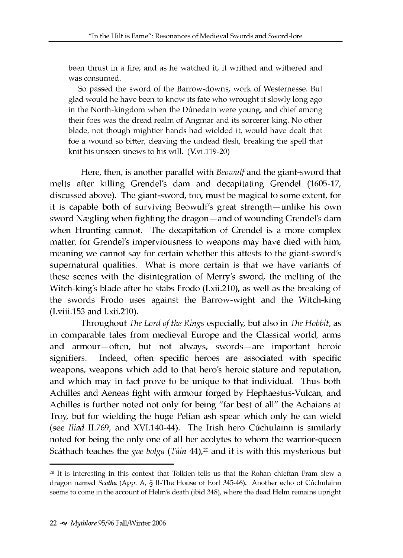**been thrust in a fire; and as he watched it, it writhed and withered and was consumed.**

**So passed the sword of the Barrow-downs, work of Westernesse. But glad would he have been to know its fate who wrought it slowly long ago in the North-kingdom when the Dunedain were young, and chief among their foes was the dread realm of Angmar and its sorcerer king. No other blade, not though mightier hands had wielded it, would have dealt that foe a wound so bitter, cleaving the undead flesh, breaking the spell that knit his unseen sinews to his will. (V.vi.119-20)**

Here, then, is another parallel with *Beowulf* and the giant-sword that melts after killing Grendel's dam and decapitating Grendel (1605-17, discussed above). The giant-sword, too, must be magical to some extent, for it is capable both of surviving Beowulf's great strength—unlike his own sword Nægling when fighting the dragon—and of wounding Grendel's dam when Hrunting cannot. The decapitation of Grendel is a more complex matter, for Grendel's imperviousness to weapons may have died with him, meaning we cannot say for certain whether this attests to the giant-sword's supernatural qualities. What is more certain is that we have variants of these scenes with the disintegration of Merry's sword, the melting of the Witch-king's blade after he stabs Frodo (I.xii.210), as well as the breaking of the swords Frodo uses against the Barrow-wight and the Witch-king (I.viii.153 and I.xii.210).

Throughout *The Lord of the Rings* especially, but also in *The Hobbit,* as in comparable tales from medieval Europe and the Classical world, arms and armour—often, but not always, swords—are important heroic signifiers. Indeed, often specific heroes are associated with specific weapons, weapons which add to that hero's heroic stature and reputation, and which may in fact prove to be unique to that individual. Thus both Achilles and Aeneas fight with armour forged by Hephaestus-Vulcan, and Achilles is further noted not only for being "far best of all" the Achaians at Troy, but for wielding the huge Pelian ash spear which only he can wield (see *Iliad II.769*, and XVI.140-44). The Irish hero Cúchulainn is similarly noted for being the only one of all her acolytes to whom the warrior-queen Scáthach teaches the *gae bolga* (Táin 44),<sup>20</sup> and it is with this mysterious but

<sup>&</sup>lt;sup>20</sup> It is interesting in this context that Tolkien tells us that the Rohan chieftan Fram slew a dragon named *Scatha* (App. A, § II-The House of Eorl 345-46). Another echo of Cúchulainn seems to come in the account of Helm's death (ibid 348), where the dead Helm remains upright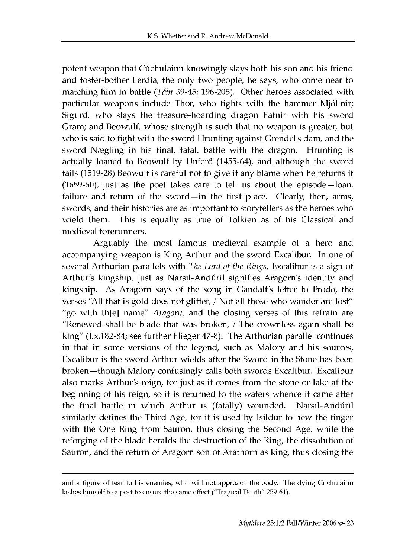potent weapon that Cúchulainn knowingly slays both his son and his friend and foster-bother Ferdia, the only two people, he says, who come near to matching him in battle *(Táin* 39-45; 196-205). Other heroes associated with particular weapons include Thor, who fights with the hammer Mjöllnir; Sigurd, who slays the treasure-hoarding dragon Fafnir with his sword Gram; and Beowulf, whose strength is such that no weapon is greater, but who is said to fight with the sword Hrunting against Grendel's dam, and the sword Nægling in his final, fatal, battle with the dragon. Hrunting is actually loaned to Beowulf by Unferð (1455-64), and although the sword fails (1519-28) Beowulf is careful not to give it any blame when he returns it (1659-60), just as the poet takes care to tell us about the episode—loan, failure and return of the sword—in the first place. Clearly, then, arms, swords, and their histories are as important to storytellers as the heroes who wield them. This is equally as true of Tolkien as of his Classical and medieval forerunners.

Arguably the most famous medieval example of a hero and accompanying weapon is King Arthur and the sword Excalibur. In one of several Arthurian parallels with *The Lord of the Rings*, Excalibur is a sign of Arthur's kingship, just as Narsil-Andúril signifies Aragorn's identity and kingship. As Aragorn says of the song in Gandalf's letter to Frodo, the verses "All that is gold does not glitter, / Not all those who wander are lost" "go with th[e] name" *Aragorn*, and the closing verses of this refrain are "Renewed shall be blade that was broken, / The crownless again shall be king" (I.x.182-84; see further Flieger 47-8). The Arthurian parallel continues in that in some versions of the legend, such as Malory and his sources, Excalibur is the sword Arthur wields after the Sword in the Stone has been broken—though Malory confusingly calls both swords Excalibur. Excalibur also marks Arthur's reign, for just as it comes from the stone or lake at the beginning of his reign, so it is returned to the waters whence it came after the final battle in which Arthur is (fatally) wounded. Narsil-Andúril similarly defines the Third Age, for it is used by Isildur to hew the finger with the One Ring from Sauron, thus closing the Second Age, while the reforging of the blade heralds the destruction of the Ring, the dissolution of Sauron, and the return of Aragorn son of Arathorn as king, thus closing the

and a figure of fear to his enemies, who will not approach the body. The dying Cuchulainn lashes himself to a post to ensure the same effect ("Tragical Death" 259-61).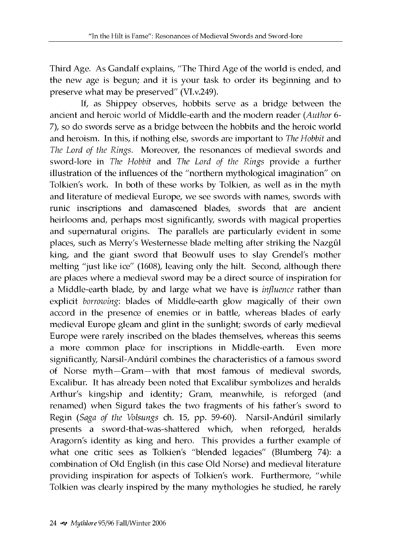Third Age. As Gandalf explains, "The Third Age of the world is ended, and the new age is begun; and it is your task to order its beginning and to preserve what may be preserved" (VI.v.249).

If, as Shippey observes, hobbits serve as a bridge between the ancient and heroic world of Middle-earth and the modern reader *(Author 6-*7), so do swords serve as a bridge between the hobbits and the heroic world and heroism. In this, if nothing else, swords are im portant to *The Hobbit* and The Lord of the Rings. Moreover, the resonances of medieval swords and sword-lore in *The Hobbit* and *The Lord of the Rings* provide a further illustration of the influences of the "northern mythological imagination" on Tolkien's work. In both of these works by Tolkien, as well as in the myth and literature of medieval Europe, we see swords with names, swords with runic inscriptions and damascened blades, swords that are ancient heirlooms and, perhaps most significantly, swords with magical properties and supernatural origins. The parallels are particularly evident in some places, such as Merry's Westernesse blade melting after striking the Nazgûl king, and the giant sword that Beowulf uses to slay Grendel's mother melting "just like ice" (1608), leaving only the hilt. Second, although there are places where a medieval sword may be a direct source of inspiration for a Middle-earth blade, by and large what we have is *influence* rather than explicit *borrowing*: blades of Middle-earth glow magically of their own accord in the presence of enemies or in battle, whereas blades of early medieval Europe gleam and glint in the sunlight; swords of early medieval Europe were rarely inscribed on the blades themselves, whereas this seems a more common place for inscriptions in Middle-earth. Even more significantly, Narsil-Andúril combines the characteristics of a famous sword of Norse myth-Gram-with that most famous of medieval swords, Excalibur. It has already been noted that Excalibur symbolizes and heralds Arthur's kingship and identity; Gram, meanwhile, is reforged (and renamed) when Sigurd takes the two fragments of his father's sword to Regin *(Saga of the Volsungs ch. 15, pp. 59-60)*. Narsil-Andúril similarly presents a sword-that-was-shattered which, when reforged, heralds Aragorn's identity as king and hero. This provides a further example of what one critic sees as Tolkien's "blended legacies" (Blumberg 74): a combination of Old English (in this case Old Norse) and medieval literature providing inspiration for aspects of Tolkien's work. Furthermore, "while Tolkien was clearly inspired by the many mythologies he studied, he rarely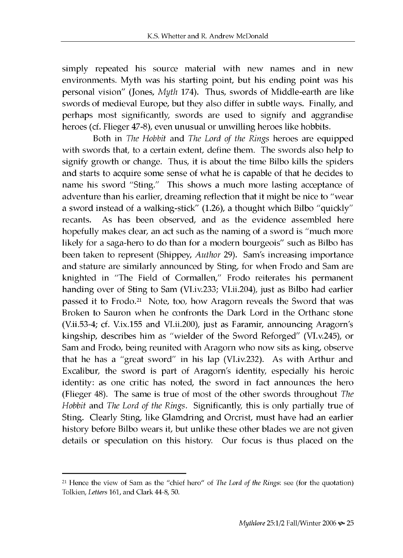simply repeated his source material with new names and in new environments. Myth was his starting point, but his ending point was his personal vision" (Jones, *Myth* 174). Thus, swords of Middle-earth are like swords of medieval Europe, but they also differ in subtle ways. Finally, and perhaps most significantly, swords are used to signify and aggrandise heroes (cf. Flieger 47-8), even unusual or unwilling heroes like hobbits.

Both in *The Hobbit* and *The Lord of the Rings* heroes are equipped with swords that, to a certain extent, define them. The swords also help to signify grow th or change. Thus, it is about the time Bilbo kills the spiders and starts to acquire some sense of what he is capable of that he decides to name his sword "Sting." This shows a much more lasting acceptance of adventure than his earlier, dreaming reflection that it might be nice to "wear a sword instead of a walking-stick" (1.26), a thought which Bilbo "quickly" recants. As has been observed, and as the evidence assembled here hopefully makes clear, an act such as the naming of a sword is "much more" likely for a saga-hero to do than for a modern bourgeois" such as Bilbo has been taken to represent (Shippey, *Author* 29). Sam's increasing importance and stature are similarly announced by Sting, for when Frodo and Sam are knighted in "The Field of Cormallen," Frodo reiterates his permanent handing over of Sting to Sam (VI.iv.233; VI.ii.204), just as Bilbo had earlier passed it to Frodo.<sup>21</sup> Note, too, how Aragorn reveals the Sword that was Broken to Sauron when he confronts the Dark Lord in the Orthanc stone (V.ii.53-4; cf. V.ix.155 and VLii.200), just as Faramir, announcing Aragorn's kingship, describes him as "w ielder of the Sword Reforged" (VI.v.245), or Sam and Frodo, being reunited with Aragorn who now sits as king, observe that he has a "great sword" in his lap (VI.iv.232). As with Arthur and Excalibur, the sword is part of Aragorn's identity, especially his heroic identity: as one critic has noted, the sword in fact announces the hero (Flieger 48). The same is true of most of the other swords throughout *The Hobbit* and *The Lord of the Rings*. Significantly, this is only partially true of Sting. Clearly Sting, like Glamdring and Orcrist, must have had an earlier history before Bilbo wears it, but unlike these other blades we are not given details or speculation on this history. Our focus is thus placed on the

<sup>21</sup> Hence the view of Sam as the "chief hero" of *The Lord of the Rings:* see (for the quotation) Tolkien, *Letters* 161, and Clark 44-8, 50.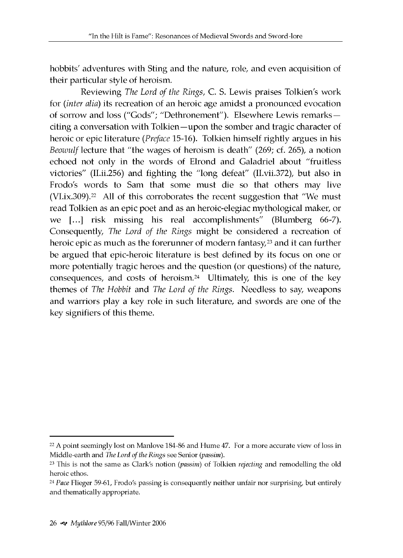hobbits' adventures with Sting and the nature, role, and even acquisition of their particular style of heroism.

Reviewing *The Lord of the Rings,* C. S. Lewis praises Tolkien's work for *(inter alia)* its recreation of an heroic age amidst a pronounced evocation of sorrow and loss ("Gods"; "Dethronement"). Elsewhere Lewis remarksciting a conversation with Tolkien—upon the somber and tragic character of heroic or epic literature *(Preface* 15-16). Tolkien himself rightly argues in his *Beowulf* lecture that "the wages of heroism is death" (269; cf. 265), a notion echoed not only in the words of Elrond and Galadriel about "fruitless victories" (II.ii.256) and fighting the "long defeat" (II.vii.372), but also in Frodo's words to Sam that some must die so that others may live  $(VI.ix.309).<sup>22</sup>$  All of this corroborates the recent suggestion that "We must read Tolkien as an epic poet and as an heroic-elegiac mythological maker, or we [...] risk missing his real accomplishments" (Blumberg 66-7). Consequently, *The Lord of the Rings* might be considered a recreation of heroic epic as much as the forerunner of modern fantasy,<sup>23</sup> and it can further be argued that epic-heroic literature is best defined by its focus on one or more potentially tragic heroes and the question (or questions) of the nature, consequences, and costs of heroism.<sup>24</sup> Ultimately, this is one of the key themes of *The Hobbit* and *The Lord of the Rings*. Needless to say, weapons and warriors play a key role in such literature, and swords are one of the key signifiers of this theme.

<sup>&</sup>lt;sup>22</sup> A point seemingly lost on Manlove 184-86 and Hume 47. For a more accurate view of loss in Middle-earth and *The Lord of the Rings* see Senior *(passim).*

<sup>23</sup> This is not the same as Clark's notion *(passim)* of Tolkien *rejecting* and remodelling the old heroic ethos.

<sup>24</sup> *Pace* Flieger 59-61, Frodo's passing is consequently neither unfair nor surprising, but entirely and thematically appropriate.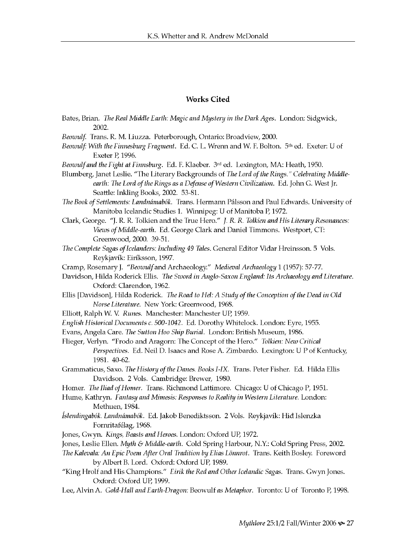#### Works Cited

- Bates, Brian. *The Real Middle Earth: Magic and Mystery in the Dark Ages.* London: Sidgwick, 2002.
- *Beowulf.* Trans. R. M. Liuzza. Peterborough, Ontario: Broadview, 2000.
- *Beowulf: With the Finnesburg Fragment.* Ed. C. L. Wrenn and W. F. Bolton. 5th ed. Exeter: U of Exeter P, 1996.
- *Beowulf and the Fight at Finnsburg.* Ed. F. Klaeber. 3rd ed. Lexington, MA: Heath, 1950.
- Blumberg, Janet Leslie. "The Literary Backgrounds of *The Lord of the Rings." Celebrating Middleearth: The Lord of the Rings as a Defense of Western Civilization*. Ed. John G. West Jr. Seattle: Inkling Books, 2002. 53-81.

*The Book of Settlements: Landnamabok.* Trans. Hermann Palsson and Paul Edwards. University of Manitoba Icelandic Studies 1. Winnipeg: U of Manitoba P, 1972.

- Clark, George. "J. R. R. Tolkien and the True Hero." *J. R. R. Tolkien and His Literary Resonances: Views of Middle-earth.* Ed. George Clark and Daniel Timmons. Westport, CT: Greenwood, 2000. 39-51.
- *The Complete Sagas of Icelanders: Including 49 Tales.* General Editor Vidar Hreinsson. 5 Vols. Reykjavik: Eiriksson, 1997.
- Cramp, Rosemary J. *"Beowulf* and Archaeology." *Medieval Archaeology* 1 (1957): 57-77.
- Davidson, Hilda Roderick Ellis. *The Sword in Anglo-Saxon England: Its Archaeology and Literature.* Oxford: Clarendon, 1962.
- Ellis [Davidson], Hilda Roderick. *The Road to Hel: A Study of the Conception of the Dead in Old Norse Literature.* New York: Greenwood, 1968.
- Elliott, Ralph W. V. Runes. Manchester: Manchester UP, 1959.
- *English Historical Documents c. 500-1042.* Ed. Dorothy Whitelock. London: Eyre, 1955.
- Evans, Angela Care. *The Sutton Hoo Ship Burial.* London: British Museum, 1986.
- Flieger, Verlyn. "Frodo and Aragorn: The Concept of the Hero." *Tolkien: New Critical Perspectives.* Ed. Neil D. Isaacs and Rose A. Zimbardo. Lexington: U P of Kentucky, 1981. 40-62.
- Grammaticus, Saxo. *The History of the Danes. Books I-IX.* Trans. Peter Fisher. Ed. Hilda Ellis Davidson. 2 Vols. Cambridge: Brewer, 1980.
- Homer. *The Iliad of Homer*. Trans. Richmond Lattimore. Chicago: U of Chicago P, 1951.
- Hume, Kathryn. *Fantasy and Mimesis: Responses to Reality in Western Literature.* London: Methuen, 1984.
- *Islendingabok. Landnamabok.* Ed. Jakob Benediktsson. 2 Vols. Reykjavik: Hid Islenzka Fornritafelag, 1968.
- Jones, Gwyn. *Kings, Beasts and Heroes.* London: Oxford UP, 1972.
- Jones, Leslie Ellen. *Myth & Middle-earth.* Cold Spring Harbour, N.Y.: Cold Spring Press, 2002.
- *The Kalevala: An Epic Poem After Oral Tradition by Elias Lonnrot.* Trans. Keith Bosley. Foreword by Albert B. Lord. Oxford: Oxford UP, 1989.
- "King Hrolf and His Champions." *Eirik the Red and Other Icelandic Sagas.* Trans. Gwyn Jones. Oxford: Oxford UP, 1999.
- Lee, Alvin A. *Gold-Hall and Earth-Dragon:* Beowulf *as Metaphor.* Toronto: U of Toronto P, 1998.